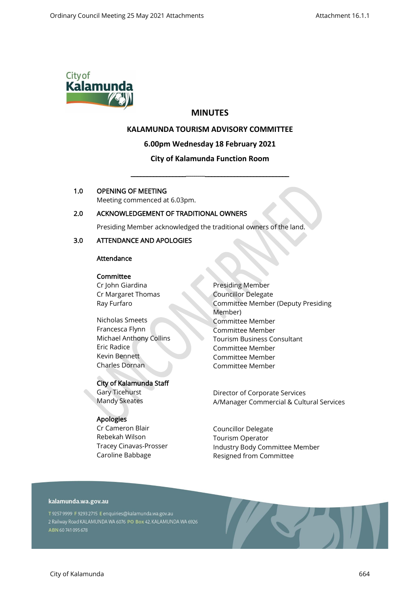

# **MINUTES**

# **KALAMUNDA TOURISM ADVISORY COMMITTEE**

# **6.00pm Wednesday 18 February 2021**

# **City of Kalamunda Function Room**

\_\_\_\_\_\_\_\_\_\_\_\_\_\_\_\_\_\_\_\_\_\_\_\_\_\_\_\_\_\_\_\_\_\_\_\_\_\_\_\_\_\_\_\_\_\_\_\_\_\_\_\_

# 1.0 OPENING OF MEETING

Meeting commenced at 6.03pm.

# 2.0 ACKNOWLEDGEMENT OF TRADITIONAL OWNERS

Presiding Member acknowledged the traditional owners of the land.

# 3.0 ATTENDANCE AND APOLOGIES

# Attendance

#### **Committee**

Cr John Giardina Cr Margaret Thomas Ray Furfaro

Nicholas Smeets Francesca Flynn Michael Anthony Collins Eric Radice Kevin Bennett Charles Dornan

# City of Kalamunda Staff

Gary Ticehurst Mandy Skeates

# Apologies

Cr Cameron Blair Rebekah Wilson Tracey Cinavas-Prosser Caroline Babbage

Presiding Member Councillor Delegate Committee Member (Deputy Presiding Member) Committee Member Committee Member Tourism Business Consultant Committee Member Committee Member Committee Member

Director of Corporate Services A/Manager Commercial & Cultural Services

Councillor Delegate Tourism Operator Industry Body Committee Member Resigned from Committee

# kalamunda.wa.gov.au

T 9257 9999 F 9293 2715 E enquiries@kalamunda.wa.gov.au 2 Railway Road KALAMUNDA WA 6076 PO Box 42, KALAMUNDA WA 6926 ABN 60741095678

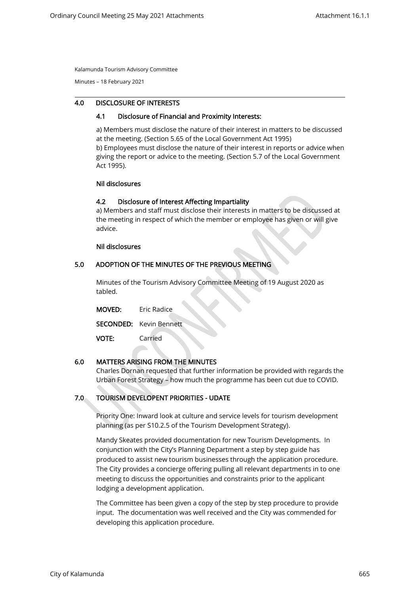Minutes – 18 February 2021

#### 4.0 DISCLOSURE OF INTERESTS

#### 4.1 Disclosure of Financial and Proximity Interests:

a) Members must disclose the nature of their interest in matters to be discussed at the meeting. (Section 5.65 of the Local Government Act 1995) b) Employees must disclose the nature of their interest in reports or advice when giving the report or advice to the meeting. (Section 5.7 of the Local Government Act 1995).

#### Nil disclosures

#### 4.2 Disclosure of Interest Affecting Impartiality

a) Members and staff must disclose their interests in matters to be discussed at the meeting in respect of which the member or employee has given or will give advice.

#### Nil disclosures

 $\overline{a}$ 

#### 5.0 ADOPTION OF THE MINUTES OF THE PREVIOUS MEETING

Minutes of the Tourism Advisory Committee Meeting of 19 August 2020 as tabled.

| <b>MOVED:</b> | Eric Radice                    |  |
|---------------|--------------------------------|--|
|               | <b>SECONDED:</b> Kevin Bennett |  |
| <b>VOTE:</b>  | Carried                        |  |

# 6.0 MATTERS ARISING FROM THE MINUTES

Charles Dornan requested that further information be provided with regards the Urban Forest Strategy – how much the programme has been cut due to COVID.

# 7.0 TOURISM DEVELOPENT PRIORITIES - UDATE

Priority One: Inward look at culture and service levels for tourism development planning (as per S10.2.5 of the Tourism Development Strategy).

Mandy Skeates provided documentation for new Tourism Developments. In conjunction with the City's Planning Department a step by step guide has produced to assist new tourism businesses through the application procedure. The City provides a concierge offering pulling all relevant departments in to one meeting to discuss the opportunities and constraints prior to the applicant lodging a development application.

The Committee has been given a copy of the step by step procedure to provide input. The documentation was well received and the City was commended for developing this application procedure.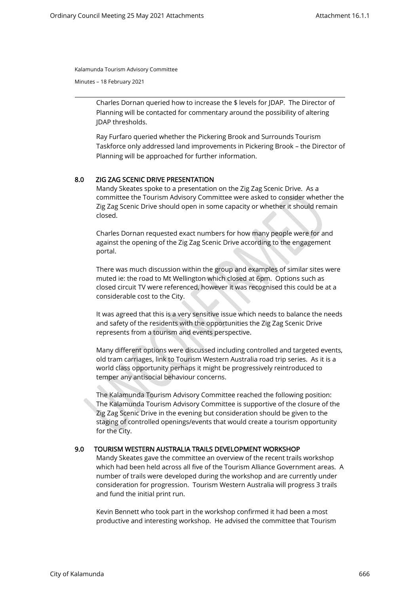Minutes – 18 February 2021

Charles Dornan queried how to increase the \$ levels for JDAP. The Director of Planning will be contacted for commentary around the possibility of altering JDAP thresholds.

Ray Furfaro queried whether the Pickering Brook and Surrounds Tourism Taskforce only addressed land improvements in Pickering Brook – the Director of Planning will be approached for further information.

#### 8.0 ZIG ZAG SCENIC DRIVE PRESENTATION

Mandy Skeates spoke to a presentation on the Zig Zag Scenic Drive. As a committee the Tourism Advisory Committee were asked to consider whether the Zig Zag Scenic Drive should open in some capacity or whether it should remain closed.

Charles Dornan requested exact numbers for how many people were for and against the opening of the Zig Zag Scenic Drive according to the engagement portal.

There was much discussion within the group and examples of similar sites were muted ie: the road to Mt Wellington which closed at 6pm. Options such as closed circuit TV were referenced, however it was recognised this could be at a considerable cost to the City.

It was agreed that this is a very sensitive issue which needs to balance the needs and safety of the residents with the opportunities the Zig Zag Scenic Drive represents from a tourism and events perspective.

Many different options were discussed including controlled and targeted events, old tram carriages, link to Tourism Western Australia road trip series. As it is a world class opportunity perhaps it might be progressively reintroduced to temper any antisocial behaviour concerns.

The Kalamunda Tourism Advisory Committee reached the following position: The Kalamunda Tourism Advisory Committee is supportive of the closure of the Zig Zag Scenic Drive in the evening but consideration should be given to the staging of controlled openings/events that would create a tourism opportunity for the City.

# 9.0 TOURISM WESTERN AUSTRALIA TRAILS DEVELOPMENT WORKSHOP

Mandy Skeates gave the committee an overview of the recent trails workshop which had been held across all five of the Tourism Alliance Government areas. A number of trails were developed during the workshop and are currently under consideration for progression. Tourism Western Australia will progress 3 trails and fund the initial print run.

Kevin Bennett who took part in the workshop confirmed it had been a most productive and interesting workshop. He advised the committee that Tourism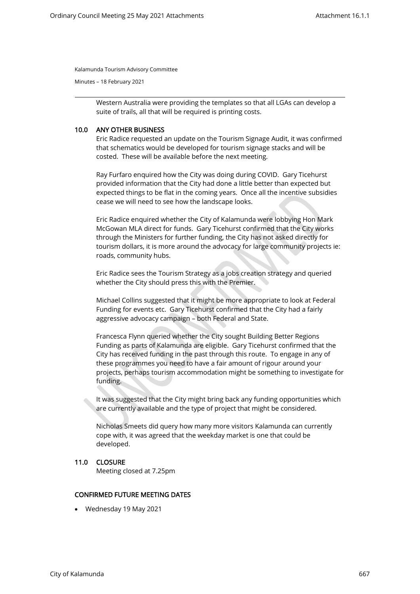Minutes – 18 February 2021

Western Australia were providing the templates so that all LGAs can develop a suite of trails, all that will be required is printing costs.

### 10.0 ANY OTHER BUSINESS

Eric Radice requested an update on the Tourism Signage Audit, it was confirmed that schematics would be developed for tourism signage stacks and will be costed. These will be available before the next meeting.

Ray Furfaro enquired how the City was doing during COVID. Gary Ticehurst provided information that the City had done a little better than expected but expected things to be flat in the coming years. Once all the incentive subsidies cease we will need to see how the landscape looks.

Eric Radice enquired whether the City of Kalamunda were lobbying Hon Mark McGowan MLA direct for funds. Gary Ticehurst confirmed that the City works through the Ministers for further funding, the City has not asked directly for tourism dollars, it is more around the advocacy for large community projects ie: roads, community hubs.

Eric Radice sees the Tourism Strategy as a jobs creation strategy and queried whether the City should press this with the Premier.

Michael Collins suggested that it might be more appropriate to look at Federal Funding for events etc. Gary Ticehurst confirmed that the City had a fairly aggressive advocacy campaign – both Federal and State.

Francesca Flynn queried whether the City sought Building Better Regions Funding as parts of Kalamunda are eligible. Gary Ticehurst confirmed that the City has received funding in the past through this route. To engage in any of these programmes you need to have a fair amount of rigour around your projects, perhaps tourism accommodation might be something to investigate for funding.

It was suggested that the City might bring back any funding opportunities which are currently available and the type of project that might be considered.

Nicholas Smeets did query how many more visitors Kalamunda can currently cope with, it was agreed that the weekday market is one that could be developed.

#### 11.0 CLOSURE

Meeting closed at 7.25pm

# CONFIRMED FUTURE MEETING DATES

• Wednesday 19 May 2021